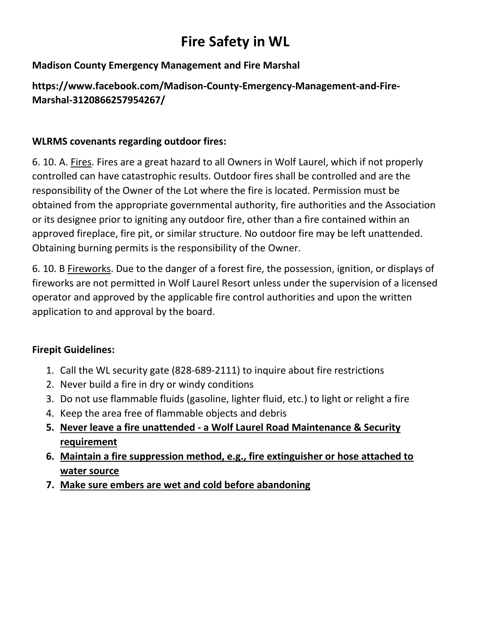# **Fire Safety in WL**

## **Madison County Emergency Management and Fire Marshal**

## **https://www.facebook.com/Madison-County-Emergency-Management-and-Fire-Marshal-3120866257954267/**

## **WLRMS covenants regarding outdoor fires:**

6. 10. A. Fires. Fires are a great hazard to all Owners in Wolf Laurel, which if not properly controlled can have catastrophic results. Outdoor fires shall be controlled and are the responsibility of the Owner of the Lot where the fire is located. Permission must be obtained from the appropriate governmental authority, fire authorities and the Association or its designee prior to igniting any outdoor fire, other than a fire contained within an approved fireplace, fire pit, or similar structure. No outdoor fire may be left unattended. Obtaining burning permits is the responsibility of the Owner.

6. 10. B Fireworks. Due to the danger of a forest fire, the possession, ignition, or displays of fireworks are not permitted in Wolf Laurel Resort unless under the supervision of a licensed operator and approved by the applicable fire control authorities and upon the written application to and approval by the board.

#### **Firepit Guidelines:**

- 1. Call the WL security gate (828-689-2111) to inquire about fire restrictions
- 2. Never build a fire in dry or windy conditions
- 3. Do not use flammable fluids (gasoline, lighter fluid, etc.) to light or relight a fire
- 4. Keep the area free of flammable objects and debris
- **5. Never leave a fire unattended - a Wolf Laurel Road Maintenance & Security requirement**
- **6. Maintain a fire suppression method, e.g., fire extinguisher or hose attached to water source**
- **7. Make sure embers are wet and cold before abandoning**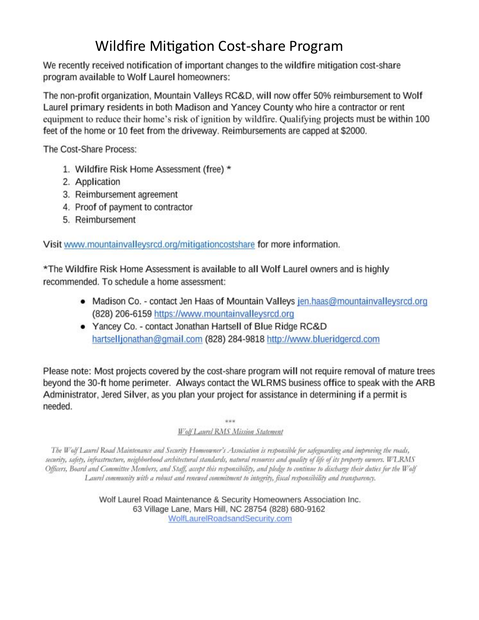## **Wildfire Mitigation Cost-share Program**

We recently received notification of important changes to the wildfire mitigation cost-share program available to Wolf Laurel homeowners:

The non-profit organization, Mountain Valleys RC&D, will now offer 50% reimbursement to Wolf Laurel primary residents in both Madison and Yancey County who hire a contractor or rent equipment to reduce their home's risk of ignition by wildfire. Qualifying projects must be within 100 feet of the home or 10 feet from the driveway. Reimbursements are capped at \$2000.

The Cost-Share Process:

- 1. Wildfire Risk Home Assessment (free) \*
- 2. Application
- 3. Reimbursement agreement
- 4. Proof of payment to contractor
- 5. Reimbursement

Visit www.mountainvalleysrcd.org/mitigationcostshare for more information.

\*The Wildfire Risk Home Assessment is available to all Wolf Laurel owners and is highly recommended. To schedule a home assessment:

- Madison Co. contact Jen Haas of Mountain Valleys jen.haas@mountainvalleysrcd.org (828) 206-6159 https://www.mountainvalleysrcd.org
- Yancey Co. contact Jonathan Hartsell of Blue Ridge RC&D hartselljonathan@gmail.com (828) 284-9818 http://www.blueridgercd.com

Please note: Most projects covered by the cost-share program will not require removal of mature trees beyond the 30-ft home perimeter. Always contact the WLRMS business office to speak with the ARB Administrator, Jered Silver, as you plan your project for assistance in determining if a permit is needed.

sinkak

#### Wolf Laurel RMS Mission Statement

The Wolf Laurel Road Maintenance and Security Homeowner's Association is responsible for safeguarding and improving the roads, security, safety, infrastructure, neighborbood architectural standards, natural resources and quality of life of its property owners. WLRMS Officers, Board and Committee Members, and Staff, accept this responsibility, and pledge to continue to discharge their duties for the Wolf Laurel community with a robust and renewed commitment to integrity, fiscal responsibility and transparency.

> Wolf Laurel Road Maintenance & Security Homeowners Association Inc. 63 Village Lane, Mars Hill, NC 28754 (828) 680-9162 WolfLaurelRoadsandSecurity.com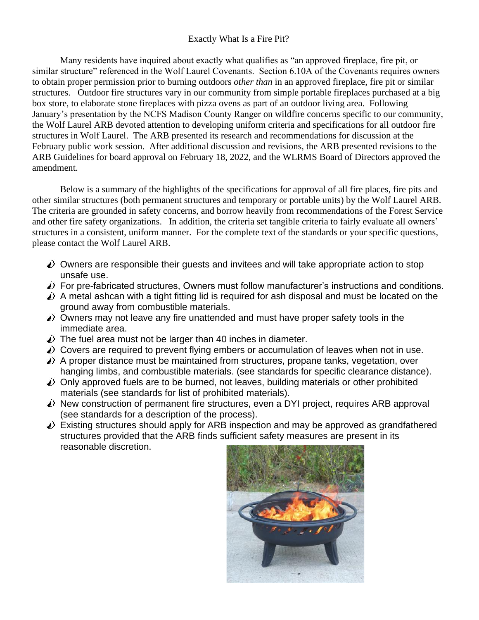#### Exactly What Is a Fire Pit?

Many residents have inquired about exactly what qualifies as "an approved fireplace, fire pit, or similar structure" referenced in the Wolf Laurel Covenants. Section 6.10A of the Covenants requires owners to obtain proper permission prior to burning outdoors *other than* in an approved fireplace, fire pit or similar structures. Outdoor fire structures vary in our community from simple portable fireplaces purchased at a big box store, to elaborate stone fireplaces with pizza ovens as part of an outdoor living area. Following January's presentation by the NCFS Madison County Ranger on wildfire concerns specific to our community, the Wolf Laurel ARB devoted attention to developing uniform criteria and specifications for all outdoor fire structures in Wolf Laurel. The ARB presented its research and recommendations for discussion at the February public work session. After additional discussion and revisions, the ARB presented revisions to the ARB Guidelines for board approval on February 18, 2022, and the WLRMS Board of Directors approved the amendment.

Below is a summary of the highlights of the specifications for approval of all fire places, fire pits and other similar structures (both permanent structures and temporary or portable units) by the Wolf Laurel ARB. The criteria are grounded in safety concerns, and borrow heavily from recommendations of the Forest Service and other fire safety organizations. In addition, the criteria set tangible criteria to fairly evaluate all owners' structures in a consistent, uniform manner. For the complete text of the standards or your specific questions, please contact the Wolf Laurel ARB.

- Owners are responsible their guests and invitees and will take appropriate action to stop unsafe use.
- For pre-fabricated structures, Owners must follow manufacturer's instructions and conditions.
- $\triangle$ ) A metal ashcan with a tight fitting lid is required for ash disposal and must be located on the ground away from combustible materials.
- Owners may not leave any fire unattended and must have proper safety tools in the immediate area.
- The fuel area must not be larger than 40 inches in diameter.
- Covers are required to prevent flying embers or accumulation of leaves when not in use.
- $\triangle$ ) A proper distance must be maintained from structures, propane tanks, vegetation, over hanging limbs, and combustible materials. (see standards for specific clearance distance).
- Only approved fuels are to be burned, not leaves, building materials or other prohibited materials (see standards for list of prohibited materials).
- New construction of permanent fire structures, even a DYI project, requires ARB approval (see standards for a description of the process).
- Existing structures should apply for ARB inspection and may be approved as grandfathered structures provided that the ARB finds sufficient safety measures are present in its reasonable discretion.